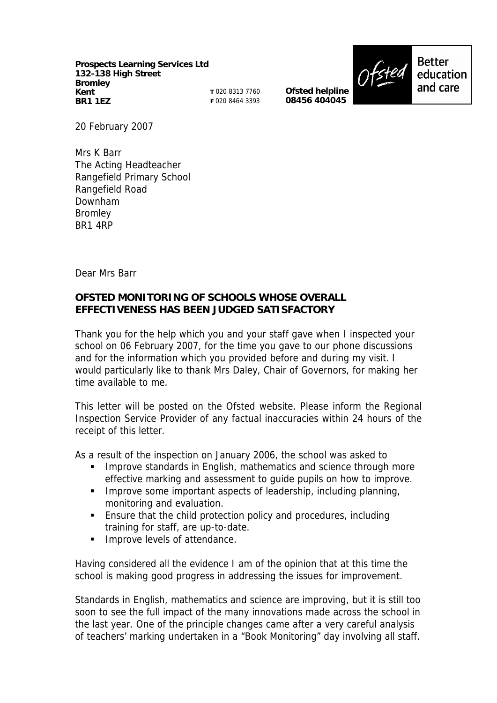**Prospects Learning Services Ltd 132-138 High Street Bromley Kent BR1 1EZ**

**T** 020 8313 7760 **F** 020 8464 3393

**Ofsted helpline 08456 404045**



**Better** education and care

20 February 2007

Mrs K Barr The Acting Headteacher Rangefield Primary School Rangefield Road Downham Bromley BR1 4RP

Dear Mrs Barr

## **OFSTED MONITORING OF SCHOOLS WHOSE OVERALL EFFECTIVENESS HAS BEEN JUDGED SATISFACTORY**

Thank you for the help which you and your staff gave when I inspected your school on 06 February 2007, for the time you gave to our phone discussions and for the information which you provided before and during my visit. I would particularly like to thank Mrs Daley, Chair of Governors, for making her time available to me.

This letter will be posted on the Ofsted website. Please inform the Regional Inspection Service Provider of any factual inaccuracies within 24 hours of the receipt of this letter.

As a result of the inspection on January 2006, the school was asked to

- **IMPROVE Standards in English, mathematics and science through more** effective marking and assessment to guide pupils on how to improve.
- **IMPROVE SOME IMPORTANT ASPECTS OF LEADER SHOW INCLUDING PLANNIC PROPERTY** monitoring and evaluation.
- Ensure that the child protection policy and procedures, including training for staff, are up-to-date.
- **Improve levels of attendance.**

Having considered all the evidence I am of the opinion that at this time the school is making good progress in addressing the issues for improvement.

Standards in English, mathematics and science are improving, but it is still too soon to see the full impact of the many innovations made across the school in the last year. One of the principle changes came after a very careful analysis of teachers' marking undertaken in a "Book Monitoring" day involving all staff.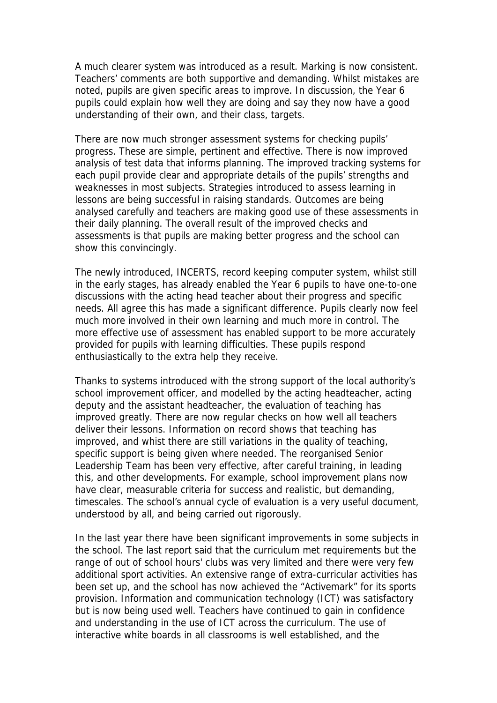A much clearer system was introduced as a result. Marking is now consistent. Teachers' comments are both supportive and demanding. Whilst mistakes are noted, pupils are given specific areas to improve. In discussion, the Year 6 pupils could explain how well they are doing and say they now have a good understanding of their own, and their class, targets.

There are now much stronger assessment systems for checking pupils' progress. These are simple, pertinent and effective. There is now improved analysis of test data that informs planning. The improved tracking systems for each pupil provide clear and appropriate details of the pupils' strengths and weaknesses in most subjects. Strategies introduced to assess learning in lessons are being successful in raising standards. Outcomes are being analysed carefully and teachers are making good use of these assessments in their daily planning. The overall result of the improved checks and assessments is that pupils are making better progress and the school can show this convincingly.

The newly introduced, INCERTS, record keeping computer system, whilst still in the early stages, has already enabled the Year 6 pupils to have one-to-one discussions with the acting head teacher about their progress and specific needs. All agree this has made a significant difference. Pupils clearly now feel much more involved in their own learning and much more in control. The more effective use of assessment has enabled support to be more accurately provided for pupils with learning difficulties. These pupils respond enthusiastically to the extra help they receive.

Thanks to systems introduced with the strong support of the local authority's school improvement officer, and modelled by the acting headteacher, acting deputy and the assistant headteacher, the evaluation of teaching has improved greatly. There are now regular checks on how well all teachers deliver their lessons. Information on record shows that teaching has improved, and whist there are still variations in the quality of teaching, specific support is being given where needed. The reorganised Senior Leadership Team has been very effective, after careful training, in leading this, and other developments. For example, school improvement plans now have clear, measurable criteria for success and realistic, but demanding, timescales. The school's annual cycle of evaluation is a very useful document, understood by all, and being carried out rigorously.

In the last year there have been significant improvements in some subjects in the school. The last report said that the curriculum met requirements but the range of out of school hours' clubs was very limited and there were very few additional sport activities. An extensive range of extra-curricular activities has been set up, and the school has now achieved the "Activemark" for its sports provision. Information and communication technology (ICT) was satisfactory but is now being used well. Teachers have continued to gain in confidence and understanding in the use of ICT across the curriculum. The use of interactive white boards in all classrooms is well established, and the